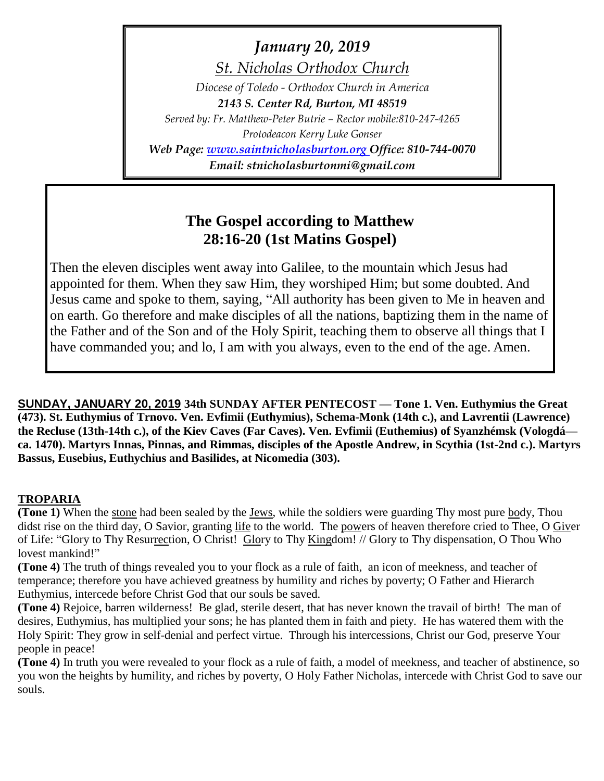*January 20, 2019*

*St. Nicholas Orthodox Church*

*Diocese of Toledo - Orthodox Church in America 2143 S. Center Rd, Burton, MI 48519 Served by: Fr. Matthew-Peter Butrie – Rector mobile:810-247-4265*

*Protodeacon Kerry Luke Gonser*

*Web Page: [www.saintnicholasburton.org](http://www.saintnicholasburton.org/) Office: 810-744-0070 Email: stnicholasburtonmi@gmail.com*

## **The Gospel according to Matthew 28:16-20 (1st Matins Gospel)**

Then the eleven disciples went away into Galilee, to the mountain which Jesus had appointed for them. When they saw Him, they worshiped Him; but some doubted. And Jesus came and spoke to them, saying, "All authority has been given to Me in heaven and on earth. Go therefore and make disciples of all the nations, baptizing them in the name of the Father and of the Son and of the Holy Spirit, teaching them to observe all things that I have commanded you; and lo, I am with you always, even to the end of the age. Amen.

**SUNDAY, JANUARY 20, 2019 34th SUNDAY AFTER PENTECOST — Tone 1. Ven. Euthymius the Great (473). St. Euthymius of Trnovo. Ven. Evfimii (Euthymius), Schema-Monk (14th c.), and Lavrentii (Lawrence) the Recluse (13th-14th c.), of the Kiev Caves (Far Caves). Ven. Evfimii (Euthemius) of Syanzhémsk (Vologdá ca. 1470). Martyrs Innas, Pinnas, and Rimmas, disciples of the Apostle Andrew, in Scythia (1st-2nd c.). Martyrs Bassus, Eusebius, Euthychius and Basilides, at Nicomedia (303).** 

### **TROPARIA**

**(Tone 1)** When the stone had been sealed by the Jews, while the soldiers were guarding Thy most pure body, Thou didst rise on the third day, O Savior, granting life to the world. The powers of heaven therefore cried to Thee, O Giver of Life: "Glory to Thy Resurrection, O Christ! Glory to Thy Kingdom! // Glory to Thy dispensation, O Thou Who lovest mankind!"

**(Tone 4)** The truth of things revealed you to your flock as a rule of faith, an icon of meekness, and teacher of temperance; therefore you have achieved greatness by humility and riches by poverty; O Father and Hierarch Euthymius, intercede before Christ God that our souls be saved.

**(Tone 4)** Rejoice, barren wilderness! Be glad, sterile desert, that has never known the travail of birth! The man of desires, Euthymius, has multiplied your sons; he has planted them in faith and piety. He has watered them with the Holy Spirit: They grow in self-denial and perfect virtue. Through his intercessions, Christ our God, preserve Your people in peace!

**(Tone 4)** In truth you were revealed to your flock as a rule of faith, a model of meekness, and teacher of abstinence, so you won the heights by humility, and riches by poverty, O Holy Father Nicholas, intercede with Christ God to save our souls.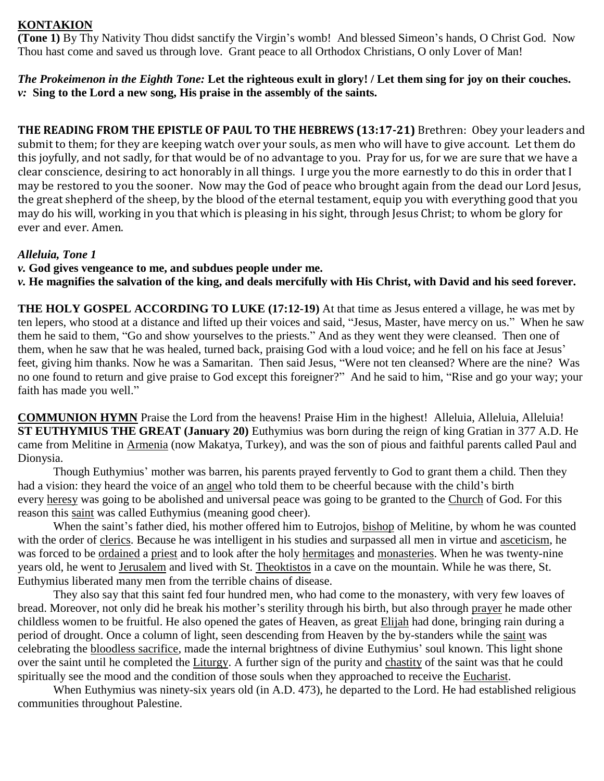#### **KONTAKION**

**(Tone 1)** By Thy Nativity Thou didst sanctify the Virgin's womb! And blessed Simeon's hands, O Christ God. Now Thou hast come and saved us through love. Grant peace to all Orthodox Christians, O only Lover of Man!

*The Prokeimenon in the Eighth Tone:* **Let the righteous exult in glory! / Let them sing for joy on their couches.** *v:* **Sing to the Lord a new song, His praise in the assembly of the saints.**

**THE READING FROM THE EPISTLE OF PAUL TO THE HEBREWS (13:17-21)** Brethren: Obey your leaders and submit to them; for they are keeping watch over your souls, as men who will have to give account. Let them do this joyfully, and not sadly, for that would be of no advantage to you. Pray for us, for we are sure that we have a clear conscience, desiring to act honorably in all things. I urge you the more earnestly to do this in order that I may be restored to you the sooner. Now may the God of peace who brought again from the dead our Lord Jesus, the great shepherd of the sheep, by the blood of the eternal testament, equip you with everything good that you may do his will, working in you that which is pleasing in his sight, through Jesus Christ; to whom be glory for ever and ever. Amen.

#### *Alleluia, Tone 1*

- *v.* **God gives vengeance to me, and subdues people under me.**
- *v.* **He magnifies the salvation of the king, and deals mercifully with His Christ, with David and his seed forever.**

**THE HOLY GOSPEL ACCORDING TO LUKE (17:12-19)** At that time as Jesus entered a village, he was met by ten lepers, who stood at a distance and lifted up their voices and said, "Jesus, Master, have mercy on us." When he saw them he said to them, "Go and show yourselves to the priests." And as they went they were cleansed. Then one of them, when he saw that he was healed, turned back, praising God with a loud voice; and he fell on his face at Jesus' feet, giving him thanks. Now he was a Samaritan. Then said Jesus, "Were not ten cleansed? Where are the nine? Was no one found to return and give praise to God except this foreigner?" And he said to him, "Rise and go your way; your faith has made you well."

**COMMUNION HYMN** Praise the Lord from the heavens! Praise Him in the highest! Alleluia, Alleluia, Alleluia! **ST EUTHYMIUS THE GREAT (January 20)** Euthymius was born during the reign of king Gratian in 377 A.D. He came from Melitine in [Armenia](https://orthodoxwiki.org/Church_of_Armenia) (now Makatya, Turkey), and was the son of pious and faithful parents called Paul and Dionysia.

Though Euthymius' mother was barren, his parents prayed fervently to God to grant them a child. Then they had a vision: they heard the voice of an [angel](https://orthodoxwiki.org/Angels) who told them to be cheerful because with the child's birth every [heresy](https://orthodoxwiki.org/Heresy) was going to be abolished and universal peace was going to be granted to the [Church](https://orthodoxwiki.org/Church) of God. For this reason this [saint](https://orthodoxwiki.org/Saint) was called Euthymius (meaning good cheer).

When the saint's father died, his mother offered him to Eutrojos, [bishop](https://orthodoxwiki.org/Bishop) of Melitine, by whom he was counted with the order of [clerics.](https://orthodoxwiki.org/Clergy) Because he was intelligent in his studies and surpassed all men in virtue and [asceticism,](https://orthodoxwiki.org/Asceticism) he was forced to be [ordained](https://orthodoxwiki.org/Ordination) a [priest](https://orthodoxwiki.org/Priest) and to look after the holy [hermitages](https://orthodoxwiki.org/Hermitage) and [monasteries.](https://orthodoxwiki.org/Monastery) When he was twenty-nine years old, he went to [Jerusalem](https://orthodoxwiki.org/Jerusalem) and lived with St. [Theoktistos](https://orthodoxwiki.org/index.php?title=Theoctistus&action=edit&redlink=1) in a cave on the mountain. While he was there, St. Euthymius liberated many men from the terrible chains of disease.

They also say that this saint fed four hundred men, who had come to the monastery, with very few loaves of bread. Moreover, not only did he break his mother's sterility through his birth, but also through [prayer](https://orthodoxwiki.org/Prayer) he made other childless women to be fruitful. He also opened the gates of Heaven, as great [Elijah](https://orthodoxwiki.org/Elijah) had done, bringing rain during a period of drought. Once a column of light, seen descending from Heaven by the by-standers while the [saint](https://orthodoxwiki.org/Saint) was celebrating the [bloodless sacrifice,](https://orthodoxwiki.org/Eucharist) made the internal brightness of divine Euthymius' soul known. This light shone over the saint until he completed the [Liturgy.](https://orthodoxwiki.org/Liturgy) A further sign of the purity and [chastity](https://orthodoxwiki.org/index.php?title=Chastity&action=edit&redlink=1) of the saint was that he could spiritually see the mood and the condition of those souls when they approached to receive the [Eucharist.](https://orthodoxwiki.org/Eucharist)

When Euthymius was ninety-six years old (in A.D. 473), he departed to the Lord. He had established religious communities throughout Palestine.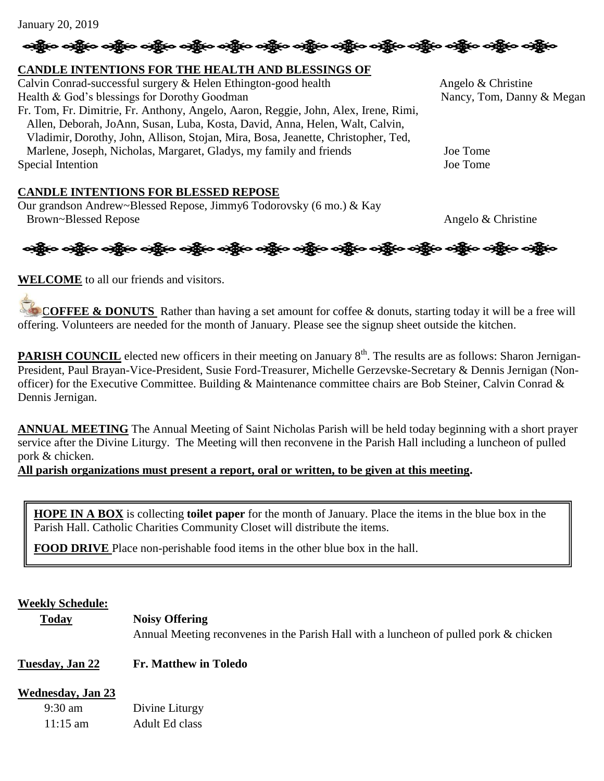# န္ကြိုးေခါ့္ကိုေခါ့္ကိုေခါ့္ကိုေခါ့္ကိုေခါ့္ကိုေခါ့္ကိုေခါ့္ကိုေခါ့္ကိုေခါ့္ကိုေခါ့္ကိုေခါ့္ကိုေခါ့္ကိုေ

#### **CANDLE INTENTIONS FOR THE HEALTH AND BLESSINGS OF**

Calvin Conrad-successful surgery & Helen Ethington-good health Angelo & Christine Health & God's blessings for Dorothy Goodman Nancy, Tom, Danny & Megan Fr. Tom, Fr. Dimitrie, Fr. Anthony, Angelo, Aaron, Reggie, John, Alex, Irene, Rimi, Allen, Deborah, JoAnn, Susan, Luba, Kosta, David, Anna, Helen, Walt, Calvin, Vladimir, Dorothy, John, Allison, Stojan, Mira, Bosa, Jeanette, Christopher, Ted, Marlene, Joseph, Nicholas, Margaret, Gladys, my family and friends Joe Tome Special Intention Joe Tome

#### **CANDLE INTENTIONS FOR BLESSED REPOSE**

Our grandson Andrew~Blessed Repose, Jimmy6 Todorovsky (6 mo.) & Kay Brown~Blessed Repose Angelo & Christine



**WELCOME** to all our friends and visitors.

**COFFEE & DONUTS** Rather than having a set amount for coffee & donuts, starting today it will be a free will offering. Volunteers are needed for the month of January. Please see the signup sheet outside the kitchen.

PARISH COUNCIL elected new officers in their meeting on January 8<sup>th</sup>. The results are as follows: Sharon Jernigan-President, Paul Brayan-Vice-President, Susie Ford-Treasurer, Michelle Gerzevske-Secretary & Dennis Jernigan (Nonofficer) for the Executive Committee. Building & Maintenance committee chairs are Bob Steiner, Calvin Conrad & Dennis Jernigan.

**ANNUAL MEETING** The Annual Meeting of Saint Nicholas Parish will be held today beginning with a short prayer service after the Divine Liturgy. The Meeting will then reconvene in the Parish Hall including a luncheon of pulled pork & chicken.

**All parish organizations must present a report, oral or written, to be given at this meeting.** 

**HOPE IN A BOX** is collecting **toilet paper** for the month of January. Place the items in the blue box in the Parish Hall. Catholic Charities Community Closet will distribute the items.

**FOOD DRIVE** Place non-perishable food items in the other blue box in the hall.

#### **Weekly Schedule:**

**Today Noisy Offering**

Annual Meeting reconvenes in the Parish Hall with a luncheon of pulled pork & chicken

#### **Tuesday, Jan 22 Fr. Matthew in Toledo**

#### **Wednesday, Jan 23**

| $9:30 \text{ am}$  | Divine Liturgy |
|--------------------|----------------|
| $11:15 \text{ am}$ | Adult Ed class |